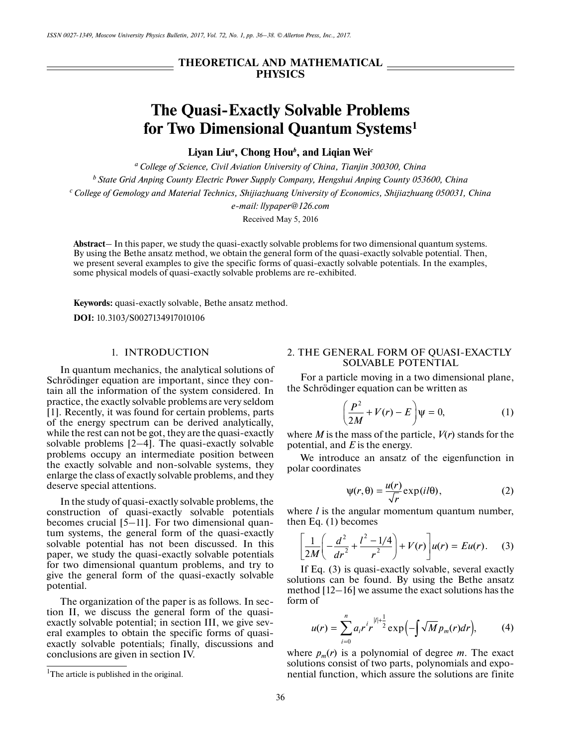# **THEORETICAL AND MATHEMATICAL PHYSICS**

# **The Quasi-Exactly Solvable Problems for Two Dimensional Quantum Systems1**

**Liyan Liu***<sup>a</sup>* **, Chong Hou***<sup>b</sup>* **, and Liqian Wei***<sup>c</sup>*

*a College of Science, Civil Aviation University of China, Tianjin 300300, China*

*b State Grid Anping County Electric Power Supply Company, Hengshui Anping County 053600, China*

*c College of Gemology and Material Technics, Shijiazhuang University of Economics, Shijiazhuang 050031, China*

*e-mail: llypaper@126.com*

Received May 5, 2016

**Abstract**– In this paper, we study the quasi-exactly solvable problems for two dimensional quantum systems. By using the Bethe ansatz method, we obtain the general form of the quasi-exactly solvable potential. Then, we present several examples to give the specific forms of quasi-exactly solvable potentials. In the examples, some physical models of quasi-exactly solvable problems are re-exhibited.

**Keywords:** quasi-exactly solvable, Bethe ansatz method.

**DOI:** 10.3103/S0027134917010106

## 1. INTRODUCTION

In quantum mechanics, the analytical solutions of Schrödinger equation are important, since they contain all the information of the system considered. In practice, the exactly solvable problems are very seldom [1]. Recently, it was found for certain problems, parts of the energy spectrum can be derived analytically, while the rest can not be got, they are the quasi-exactly solvable problems [2–4]. The quasi-exactly solvable problems occupy an intermediate position between the exactly solvable and non-solvable systems, they enlarge the class of exactly solvable problems, and they deserve special attentions.

In the study of quasi-exactly solvable problems, the construction of quasi-exactly solvable potentials becomes crucial [5–11]. For two dimensional quantum systems, the general form of the quasi-exactly solvable potential has not been discussed. In this paper, we study the quasi-exactly solvable potentials for two dimensional quantum problems, and try to give the general form of the quasi-exactly solvable potential.

The organization of the paper is as follows. In section II, we discuss the general form of the quasiexactly solvable potential; in section III, we give several examples to obtain the specific forms of quasiexactly solvable potentials; finally, discussions and conclusions are given in section IV.

### 2. THE GENERAL FORM OF QUASI-EXACTLY SOLVABLE POTENTIAL

For a particle moving in a two dimensional plane, the Schrödinger equation can be written as

$$
\left(\frac{P^2}{2M} + V(r) - E\right)\psi = 0,\tag{1}
$$

where  $M$  is the mass of the particle,  $V(r)$  stands for the potential, and *E* is the energy.

We introduce an ansatz of the eigenfunction in polar coordinates

$$
\psi(r,\theta) = \frac{u(r)}{\sqrt{r}} \exp(i l\theta), \qquad (2)
$$

where *l* is the angular momentum quantum number, then Eq. (1) becomes

$$
\left[\frac{1}{2M}\left(-\frac{d^2}{dr^2} + \frac{l^2 - 1/4}{r^2}\right) + V(r)\right]u(r) = Eu(r). \tag{3}
$$

If Eq. (3) is quasi-exactly solvable, several exactly solutions can be found. By using the Bethe ansatz method [12–16] we assume the exact solutions has the form of

$$
u(r) = \sum_{i=0}^{n} a_i r^i r^{|l| + \frac{1}{2}} \exp\left(-\int \sqrt{M} p_m(r) dr\right), \tag{4}
$$

where  $p_m(r)$  is a polynomial of degree *m*. The exact solutions consist of two parts, polynomials and exponential function, which assure the solutions are finite

<sup>&</sup>lt;sup>1</sup>The article is published in the original.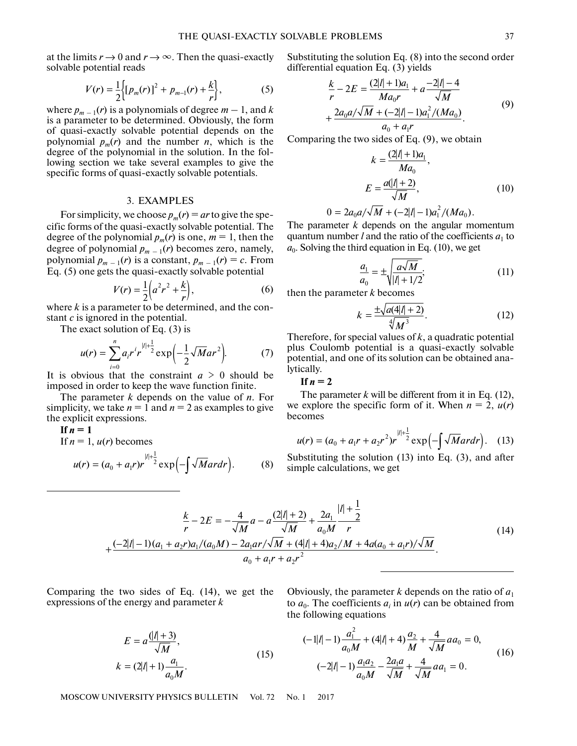at the limits  $r \to 0$  and  $r \to \infty$ . Then the quasi-exactly solvable potential reads

$$
V(r) = \frac{1}{2} \Biggl\{ \bigl[ p_m(r) \bigr]^2 + p_{m-1}(r) + \frac{k}{r} \Biggr\},\tag{5}
$$

where  $p_{m-1}(r)$  is a polynomials of degree  $m-1$ , and k is a parameter to be determined. Obviously, the form of quasi-exactly solvable potential depends on the polynomial  $p_m(r)$  and the number *n*, which is the degree of the polynomial in the solution. In the following section we take several examples to give the specific forms of quasi-exactly solvable potentials.

#### 3. EXAMPLES

For simplicity, we choose  $p_m(r) = ar$  to give the specific forms of the quasi-exactly solvable potential. The degree of the polynomial  $p_m(r)$  is one,  $m = 1$ , then the degree of polynomial  $p_{m-1}(r)$  becomes zero, namely, polynomial  $p_{m-1}(r)$  is a constant,  $p_{m-1}(r) = c$ . From Eq. (5) one gets the quasi-exactly solvable potential

$$
V(r) = \frac{1}{2} \left( a^2 r^2 + \frac{k}{r} \right),
$$
 (6)

where *k* is a parameter to be determined, and the constant *с* is ignored in the potential.

The exact solution of Eq. (3) is

$$
u(r) = \sum_{i=0}^{n} a_i r^i r^{\frac{|l| + \frac{1}{2}}{2}} \exp\left(-\frac{1}{2} \sqrt{M} a r^2\right).
$$
 (7)

It is obvious that the constraint  $a > 0$  should be imposed in order to keep the wave function finite.

The parameter *k* depends on the value of *n*. For simplicity, we take  $n = 1$  and  $n = 2$  as examples to give the explicit expressions.

If 
$$
n = 1
$$
  
\nIf  $n = 1$ ,  $u(r)$  becomes  
\n
$$
u(r) = (a_0 + a_1 r)r^{1+\frac{1}{2}} \exp(-\int \sqrt{M} ar dr).
$$
\n(8)

Substituting the solution Eq. (8) into the second order differential equation Eq. (3) yields

$$
\frac{k}{r} - 2E = \frac{(2|l| + 1)a_1}{Ma_0r} + a \frac{-2|l| - 4}{\sqrt{M}}
$$

$$
+ \frac{2a_0a/\sqrt{M} + (-2|l| - 1)a_1^2/(Ma_0)}{a_0 + a_1r}.
$$
(9)

Comparing the two sides of Eq. (9), we obtain

$$
k = \frac{(2|l| + 1)a_1}{Ma_0},
$$
  

$$
E = \frac{a(|l| + 2)}{\sqrt{M}},
$$
 (10)

$$
0 = 2a_0 a/\sqrt{M} + (-2|l| - 1)a_1^2/(Ma_0).
$$

The parameter *k* depends on the angular momentum quantum number *l* and the ratio of the coefficients  $a_1$  to  $a_0$ . Solving the third equation in Eq. (10), we get

$$
\frac{a_1}{a_0} = \pm \sqrt{\frac{a\sqrt{M}}{|l| + 1/2}};
$$
\n(11)

then the parameter *k* becomes

$$
k = \frac{\pm \sqrt{a(4|l| + 2)}}{\sqrt[4]{M^3}}.
$$
 (12)

Therefore, for special values of *k*, a quadratic potential plus Coulomb potential is a quasi-exactly solvable potential, and one of its solution can be obtained analytically.

 $\text{If } n = 2$ 

The parameter *k* will be different from it in Eq. (12), we explore the specific form of it. When  $n = 2$ ,  $u(r)$ becomes

$$
u(r) = (a_0 + a_1r + a_2r^2)r^{\frac{||r|^{\frac{1}{2}}}{2}} \exp\left(-\int \sqrt{M}ar dr\right).
$$
 (13)

Substituting the solution (13) into Eq. (3), and after simple calculations, we get

$$
\frac{k}{r} - 2E = -\frac{4}{\sqrt{M}}a - a\frac{(2|l|+2)}{\sqrt{M}} + \frac{2a_1}{a_0M}\frac{|l|+\frac{1}{2}}{r}
$$
\n
$$
+\frac{(-2|l|-1)(a_1 + a_2r)a_1/(a_0M) - 2a_1ar/\sqrt{M} + (4|l|+4)a_2/M + 4a(a_0 + a_1r)/\sqrt{M}}{a_0 + a_1r + a_2r^2}.
$$
\n(14)

Comparing the two sides of Eq. (14), we get the expressions of the energy and parameter *k*

$$
E = a \frac{(|l| + 3)}{\sqrt{M}},
$$
  
\n
$$
k = (2|l| + 1) \frac{a_1}{a_0 M}.
$$
 (15)

Obviously, the parameter *k* depends on the ratio of  $a_1$ to  $a_0$ . The coefficients  $a_i$  in  $u(r)$  can be obtained from the following equations

$$
(-1|l| - 1)\frac{a_1^2}{a_0 M} + (4|l| + 4)\frac{a_2}{M} + \frac{4}{\sqrt{M}}aa_0 = 0,
$$
  

$$
(-2|l| - 1)\frac{a_1 a_2}{a_0 M} - \frac{2a_1 a}{\sqrt{M}} + \frac{4}{\sqrt{M}}aa_1 = 0.
$$
 (16)

MOSCOW UNIVERSITY PHYSICS BULLETIN Vol. 72 No. 1 2017